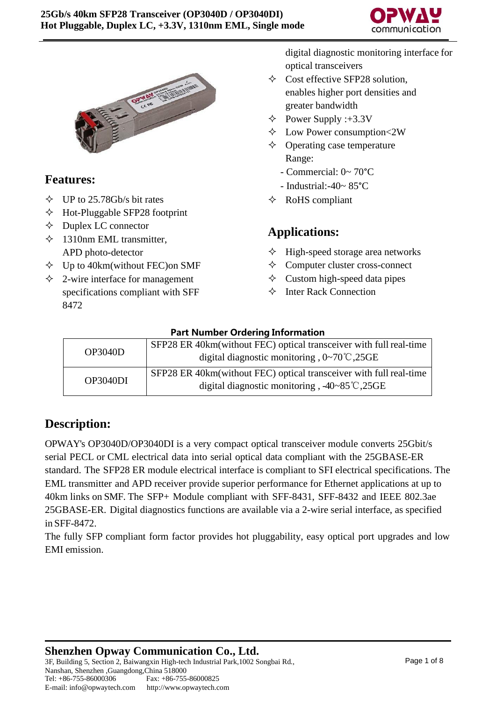



#### **Features:**

- $\div$  UP to 25.78Gb/s bit rates
- $\triangle$  Hot-Pluggable SFP28 footprint
- $\Diamond$  Duplex LC connector
- $\div$  1310nm EML transmitter, APD photo-detector
- $\diamond$  Up to 40km(without FEC) on SMF
- $\triangle$  2-wire interface for management specifications compliant with SFF 8472

digital diagnostic monitoring interface for optical transceivers

- $\diamond$  Cost effective SFP28 solution. enables higher port densities and greater bandwidth
- $\triangle$  Power Supply :+3.3V
- $\Diamond$  Low Power consumption<2W
- $\Diamond$  Operating case temperature Range:
	- Commercial: 0~ 70°C
	- Industrial:-40~ 85°C
- $\Diamond$  RoHS compliant

#### **Applications:**

- $\Diamond$  High-speed storage area networks
- $\Diamond$  Computer cluster cross-connect
- $\Diamond$  Custom high-speed data pipes
- $\Diamond$  Inter Rack Connection

| <b>Part Number Ordering Information</b> |
|-----------------------------------------|
|-----------------------------------------|

| <b>OP3040D</b> | SFP28 ER 40km(without FEC) optical transceiver with full real-time<br>digital diagnostic monitoring, $0\nu$ -70°C, 25GE       |
|----------------|-------------------------------------------------------------------------------------------------------------------------------|
| OP3040DI       | SFP28 ER 40km(without FEC) optical transceiver with full real-time<br>digital diagnostic monitoring, $-40-85^{\circ}$ C, 25GE |

## **Description:**

OPWAY's OP3040D/OP3040DI is a very compact optical transceiver module converts 25Gbit/s serial PECL or CML electrical data into serial optical data compliant with the 25GBASE-ER standard. The SFP28 ER module electrical interface is compliant to SFI electrical specifications. The EML transmitter and APD receiver provide superior performance for Ethernet applications at up to 40km links on SMF. The SFP+ Module compliant with SFF-8431, SFF-8432 and IEEE 802.3ae 25GBASE-ER. Digital diagnostics functions are available via a 2-wire serial interface, as specified in SFF-8472.

The fully SFP compliant form factor provides hot pluggability, easy optical port upgrades and low EMI emission.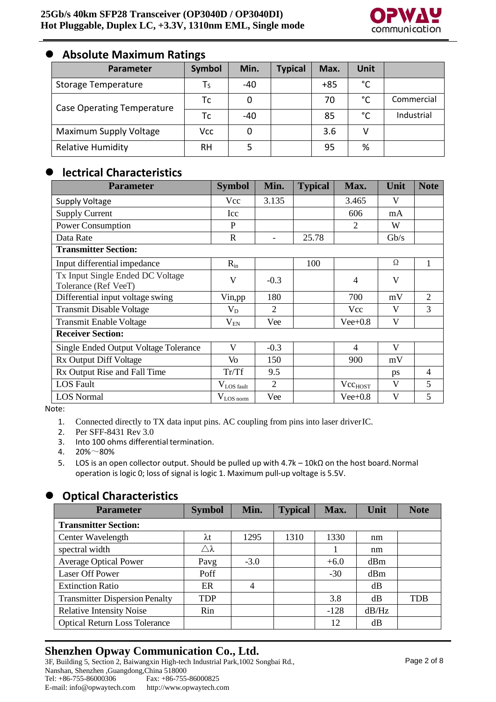

#### ⚫ **Absolute Maximum Ratings**

| Parameter                  | Symbol | Min. | <b>Typical</b> | Max.  | <b>Unit</b> |            |
|----------------------------|--------|------|----------------|-------|-------------|------------|
| <b>Storage Temperature</b> | Тς     | -40  |                | $+85$ | °C          |            |
| Case Operating Temperature | Тc     | 0    |                | 70    | °C          | Commercial |
|                            | Тc     | -40  |                | 85    | °C          | Industrial |
| Maximum Supply Voltage     | Vcc    | 0    |                | 3.6   | v           |            |
| <b>Relative Humidity</b>   | RH     |      |                | 95    | %           |            |

#### ⚫ **lectrical Characteristics**

| <b>Parameter</b>                                         | <b>Symbol</b>      | Min.           | <b>Typical</b> | Max.                | Unit         | <b>Note</b>    |
|----------------------------------------------------------|--------------------|----------------|----------------|---------------------|--------------|----------------|
| <b>Supply Voltage</b>                                    | <b>Vcc</b>         | 3.135          |                | 3.465               | V            |                |
| <b>Supply Current</b>                                    | Icc                |                |                | 606                 | mA           |                |
| Power Consumption                                        | P                  |                |                | $\mathfrak{D}$      | W            |                |
| Data Rate                                                | $\mathbb{R}$       |                | 25.78          |                     | Gb/s         |                |
| <b>Transmitter Section:</b>                              |                    |                |                |                     |              |                |
| Input differential impedance                             | $R_{in}$           |                | 100            |                     | Ω            | 1              |
| Tx Input Single Ended DC Voltage<br>Tolerance (Ref VeeT) | $\mathbf{V}$       | $-0.3$         |                | 4                   | V            |                |
| Differential input voltage swing                         | Vin, pp            | 180            |                | 700                 | mV           | $\overline{2}$ |
| <b>Transmit Disable Voltage</b>                          | $V_D$              | $\overline{2}$ |                | Vcc                 | $\mathbf{V}$ | 3              |
| <b>Transmit Enable Voltage</b>                           | $\rm V_{EN}$       | Vee            |                | $Vee+0.8$           | V            |                |
| <b>Receiver Section:</b>                                 |                    |                |                |                     |              |                |
| <b>Single Ended Output Voltage Tolerance</b>             | V                  | $-0.3$         |                | 4                   | V            |                |
| Rx Output Diff Voltage                                   | Vo                 | 150            |                | 900                 | mV           |                |
| Rx Output Rise and Fall Time                             | Tr/Tf              | 9.5            |                |                     | ps           | $\overline{4}$ |
| <b>LOS Fault</b>                                         | $V_{LOS \, fault}$ | $\overline{2}$ |                | Vec <sub>HOST</sub> | V            | 5              |
| <b>LOS Normal</b>                                        | $V_{LOS\,norm}$    | Vee            |                | $Vee+0.8$           | V            | 5              |

Note:

1. Connected directly to TX data input pins. AC coupling from pins into laser driverIC.

2. Per SFF-8431 Rev 3.0

- 3. Into 100 ohms differential termination.<br>4.  $20\% \sim 80\%$
- $20\% 80\%$
- 5. LOS is an open collector output. Should be pulled up with 4.7k 10kΩ on the host board.Normal operation is logic 0; loss of signal is logic 1. Maximum pull-up voltage is 5.5V.

#### ⚫ **Optical Characteristics**

| <b>Parameter</b>                      | <b>Symbol</b>         | Min.   | <b>Typical</b> | Max.   | Unit  | <b>Note</b> |  |  |  |
|---------------------------------------|-----------------------|--------|----------------|--------|-------|-------------|--|--|--|
| <b>Transmitter Section:</b>           |                       |        |                |        |       |             |  |  |  |
| Center Wavelength                     | $\lambda t$           | 1295   | 1310           | 1330   | nm    |             |  |  |  |
| spectral width                        | $\triangle$ $\lambda$ |        |                |        | nm    |             |  |  |  |
| <b>Average Optical Power</b>          | Pavg                  | $-3.0$ |                | $+6.0$ | dBm   |             |  |  |  |
| <b>Laser Off Power</b>                | Poff                  |        |                | $-30$  | dBm   |             |  |  |  |
| <b>Extinction Ratio</b>               | ER                    | 4      |                |        | dB    |             |  |  |  |
| <b>Transmitter Dispersion Penalty</b> | <b>TDP</b>            |        |                | 3.8    | dB    | <b>TDB</b>  |  |  |  |
| <b>Relative Intensity Noise</b>       | Rin                   |        |                | $-128$ | dB/Hz |             |  |  |  |
| <b>Optical Return Loss Tolerance</b>  |                       |        |                | 12     | dB    |             |  |  |  |

#### **Shenzhen Opway Communication Co., Ltd.**

3F, Building 5, Section 2, Baiwangxin High-tech Industrial Park,1002 Songbai Rd., Nanshan, Shenzhen ,Guangdong,China 518000 Tel: +86-755-86000306 E-mail: [info@opwaytech.com](mailto:info@opwaytech.com) Fax: +86-755-86000825 [http://www.opwaytech.com](http://www.opwaytech.com/)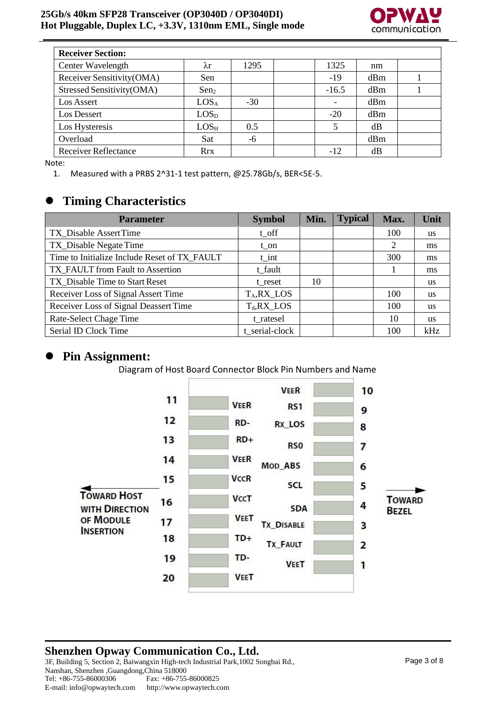

| <b>Receiver Section:</b>    |                  |       |         |     |  |
|-----------------------------|------------------|-------|---------|-----|--|
| Center Wavelength           | λr               | 1295  | 1325    | nm  |  |
| Receiver Sensitivity(OMA)   | Sen              |       | $-19$   | dBm |  |
| Stressed Sensitivity(OMA)   | Sen <sub>2</sub> |       | $-16.5$ | dBm |  |
| Los Assert                  | LOS <sub>A</sub> | $-30$ |         | dBm |  |
| Los Dessert                 | LOS <sub>D</sub> |       | $-20$   | dBm |  |
| Los Hysteresis              | $LOS_{H}$        | 0.5   | 5       | dB  |  |
| Overload                    | Sat              | -6    |         | dBm |  |
| <b>Receiver Reflectance</b> | <b>Rrx</b>       |       | $-12$   | dB  |  |

Note:

1. Measured with a PRBS 2^31-1 test pattern, @25.78Gb/s, BER<5E-5.

#### ⚫ **Timing Characteristics**

| <b>Parameter</b>                             | <b>Symbol</b>  | Min. | <b>Typical</b> | Max. | Unit      |
|----------------------------------------------|----------------|------|----------------|------|-----------|
| TX_Disable AssertTime                        | $t_$ off       |      |                | 100  | <b>us</b> |
| TX_Disable Negate Time                       | t on           |      |                | 2    | ms        |
| Time to Initialize Include Reset of TX FAULT | $t$ _int       |      |                | 300  | ms        |
| TX FAULT from Fault to Assertion             | t_fault        |      |                |      | ms        |
| TX_Disable Time to Start Reset               | t reset        | 10   |                |      | <b>us</b> |
| Receiver Loss of Signal Assert Time          | $T_A, RX\_LOS$ |      |                | 100  | <b>us</b> |
| Receiver Loss of Signal Deassert Time        | $T_d, RX\_LOS$ |      |                | 100  | <b>us</b> |
| Rate-Select Chage Time                       | t ratesel      |      |                | 10   | <b>us</b> |
| Serial ID Clock Time                         | t serial-clock |      |                | 100  | kHz       |

#### ⚫ **Pin Assignment:**

Diagram of Host Board Connector Block Pin Numbers and Name



#### **Shenzhen Opway Communication Co., Ltd.** 3F, Building 5, Section 2, Baiwangxin High-tech Industrial Park,1002 Songbai Rd., Nanshan, Shenzhen ,Guangdong,China 518000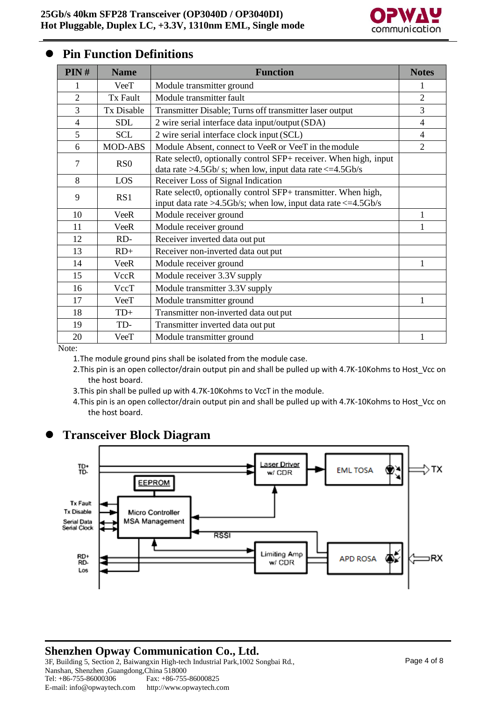

#### ⚫ **Pin Function Definitions**

| PIN#           | <b>Name</b>                 | <b>Function</b>                                                                                                                         | <b>Notes</b>   |
|----------------|-----------------------------|-----------------------------------------------------------------------------------------------------------------------------------------|----------------|
|                | VeeT                        | Module transmitter ground                                                                                                               | 1              |
| $\overline{2}$ | <b>Tx Fault</b>             | Module transmitter fault                                                                                                                | $\overline{2}$ |
| 3              | <b>Tx Disable</b>           | Transmitter Disable; Turns off transmitter laser output                                                                                 | 3              |
| $\overline{4}$ | <b>SDL</b>                  | 2 wire serial interface data input/output (SDA)                                                                                         | $\overline{4}$ |
| 5              | <b>SCL</b>                  | 2 wire serial interface clock input (SCL)                                                                                               | 4              |
| 6              | <b>MOD-ABS</b>              | Module Absent, connect to VeeR or VeeT in the module                                                                                    | $\overline{2}$ |
| 7              | R <sub>S</sub> <sub>0</sub> | Rate select0, optionally control SFP+ receiver. When high, input<br>data rate $>4.5$ Gb/s; when low, input data rate $\leq=4.5$ Gb/s    |                |
| 8              | LOS                         | Receiver Loss of Signal Indication                                                                                                      |                |
| 9              | RS1                         | Rate select0, optionally control SFP+ transmitter. When high,<br>input data rate $>4.5$ Gb/s; when low, input data rate $\leq=4.5$ Gb/s |                |
| 10             | <b>VeeR</b>                 | Module receiver ground                                                                                                                  | 1              |
| 11             | <b>VeeR</b>                 | Module receiver ground                                                                                                                  |                |
| 12             | RD-                         | Receiver inverted data out put                                                                                                          |                |
| 13             | $RD+$                       | Receiver non-inverted data out put                                                                                                      |                |
| 14             | <b>VeeR</b>                 | Module receiver ground                                                                                                                  |                |
| 15             | VccR                        | Module receiver 3.3V supply                                                                                                             |                |
| 16             | VccT                        | Module transmitter 3.3V supply                                                                                                          |                |
| 17             | VeeT                        | Module transmitter ground                                                                                                               |                |
| 18             | TD+                         | Transmitter non-inverted data out put                                                                                                   |                |
| 19             | TD-                         | Transmitter inverted data out put                                                                                                       |                |
| 20             | VeeT                        | Module transmitter ground                                                                                                               |                |

Note:

1.The module ground pins shall be isolated from the module case.

- 2. This pin is an open collector/drain output pin and shall be pulled up with 4.7K-10Kohms to Host Vcc on the host board.
- 3.This pin shall be pulled up with 4.7K-10Kohms to VccT in the module.
- 4.This pin is an open collector/drain output pin and shall be pulled up with 4.7K-10Kohms to Host\_Vcc on the host board.

#### ⚫ **Transceiver Block Diagram**



#### **Shenzhen Opway Communication Co., Ltd.**

3F, Building 5, Section 2, Baiwangxin High-tech Industrial Park,1002 Songbai Rd., Nanshan, Shenzhen ,Guangdong,China 518000 Tel: +86-755-86000306 E-mail: [info@opwaytech.com](mailto:info@opwaytech.com) Fax: +86-755-86000825 [http://www.opwaytech.com](http://www.opwaytech.com/)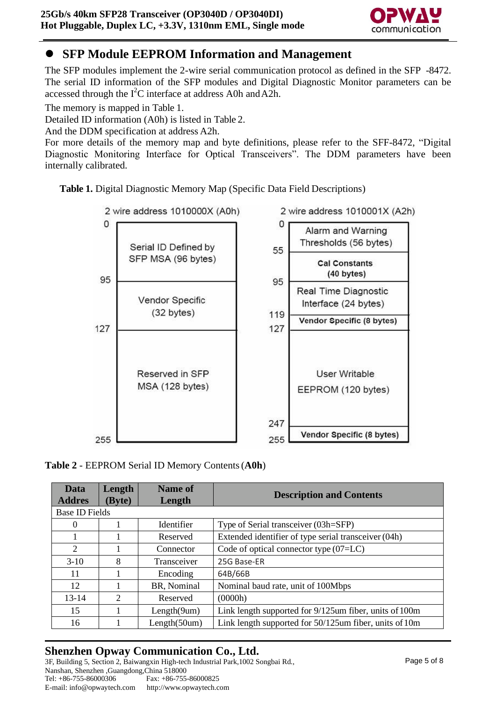

## ⚫ **SFP Module EEPROM Information and Management**

The SFP modules implement the 2-wire serial communication protocol as defined in the SFP -8472. The serial ID information of the SFP modules and Digital Diagnostic Monitor parameters can be accessed through the  $I^2C$  interface at address A0h and A2h.

The memory is mapped in Table 1.

Detailed ID information (A0h) is listed in Table 2.

And the DDM specification at address A2h.

For more details of the memory map and byte definitions, please refer to the SFF-8472, "Digital Diagnostic Monitoring Interface for Optical Transceivers". The DDM parameters have been internally calibrated.





#### **Table 2** - EEPROM Serial ID Memory Contents(**A0h**)

| Data<br><b>Addres</b> | Length<br>(Byte) | <b>Name of</b><br>Length | <b>Description and Contents</b>                        |
|-----------------------|------------------|--------------------------|--------------------------------------------------------|
| <b>Base ID Fields</b> |                  |                          |                                                        |
| $\theta$              |                  | Identifier               | Type of Serial transceiver (03h=SFP)                   |
|                       |                  | Reserved                 | Extended identifier of type serial transceiver (04h)   |
| 2                     |                  | Connector                | Code of optical connector type $(07=LC)$               |
| $3-10$                | 8                | Transceiver              | 25G Base-ER                                            |
| 11                    |                  | Encoding                 | 64B/66B                                                |
| 12                    |                  | BR, Nominal              | Nominal baud rate, unit of 100Mbps                     |
| $13 - 14$             | 2                | Reserved                 | (0000h)                                                |
| 15                    |                  | Length(9um)              | Link length supported for 9/125um fiber, units of 100m |
| 16                    |                  | Length(50um)             | Link length supported for 50/125um fiber, units of 10m |

## **Shenzhen Opway Communication Co., Ltd.**

3F, Building 5, Section 2, Baiwangxin High-tech Industrial Park,1002 Songbai Rd., Nanshan, Shenzhen ,Guangdong,China 518000 Tel: +86-755-86000306 E-mail: [info@opwaytech.com](mailto:info@opwaytech.com) Fax: +86-755-86000825 [http://www.opwaytech.com](http://www.opwaytech.com/)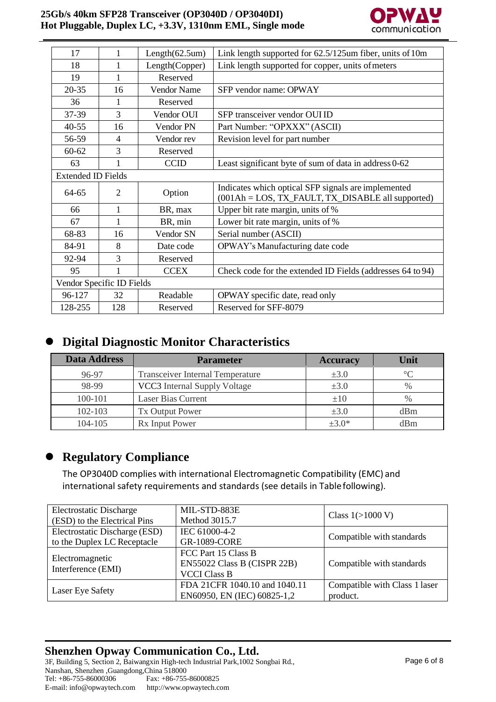

| 17                        | 1              | Length(62.5um)     | Link length supported for 62.5/125um fiber, units of 10m                                                   |
|---------------------------|----------------|--------------------|------------------------------------------------------------------------------------------------------------|
| 18                        | 1              | Length(Copper)     | Link length supported for copper, units of meters                                                          |
| 19                        | 1              | Reserved           |                                                                                                            |
| $20 - 35$                 | 16             | <b>Vendor Name</b> | SFP vendor name: OPWAY                                                                                     |
| 36                        | 1              | Reserved           |                                                                                                            |
| 37-39                     | 3              | Vendor OUI         | SFP transceiver vendor OUI ID                                                                              |
| $40 - 55$                 | 16             | Vendor PN          | Part Number: "OPXXX" (ASCII)                                                                               |
| 56-59                     | $\overline{4}$ | Vendor rev         | Revision level for part number                                                                             |
| $60 - 62$                 | 3              | Reserved           |                                                                                                            |
| 63                        | 1              | <b>CCID</b>        | Least significant byte of sum of data in address 0-62                                                      |
| <b>Extended ID Fields</b> |                |                    |                                                                                                            |
| 64-65                     | $\overline{2}$ | Option             | Indicates which optical SFP signals are implemented<br>$(001Ah = LOS, TX_FAULT, TX_DISABLE all supported)$ |
| 66                        | 1              | BR, max            | Upper bit rate margin, units of %                                                                          |
| 67                        | 1              | BR, min            | Lower bit rate margin, units of %                                                                          |
| 68-83                     | 16             | Vendor SN          | Serial number (ASCII)                                                                                      |
| 84-91                     | 8              | Date code          | OPWAY's Manufacturing date code                                                                            |
| 92-94                     | 3              | Reserved           |                                                                                                            |
| 95                        | 1              | <b>CCEX</b>        | Check code for the extended ID Fields (addresses 64 to 94)                                                 |
| Vendor Specific ID Fields |                |                    |                                                                                                            |
| 96-127                    | 32             | Readable           | OPWAY specific date, read only                                                                             |
| 128-255                   | 128            | Reserved           | Reserved for SFF-8079                                                                                      |

#### ⚫ **Digital Diagnostic Monitor Characteristics**

| <b>Data Address</b> | <b>Parameter</b>                        | <b>Accuracy</b> | Unit        |
|---------------------|-----------------------------------------|-----------------|-------------|
| 96-97               | <b>Transceiver Internal Temperature</b> | $\pm 3.0$       | $^{\circ}C$ |
| 98-99               | VCC3 Internal Supply Voltage            | $\pm 3.0$       | $\%$        |
| 100-101             | Laser Bias Current                      | $\pm 10$        | $\%$        |
| 102-103             | <b>Tx Output Power</b>                  | $\pm 3.0$       | dBm         |
| $104 - 105$         | Rx Input Power                          | $\pm 3.0^*$     | dBm         |

#### ⚫ **Regulatory Compliance**

The OP3040D complies with international Electromagnetic Compatibility (EMC) and international safety requirements and standards (see details in Tablefollowing).

| <b>Electrostatic Discharge</b> | MIL-STD-883E                  |                               |  |
|--------------------------------|-------------------------------|-------------------------------|--|
| (ESD) to the Electrical Pins   | Method 3015.7                 | Class $1(>1000 V)$            |  |
| Electrostatic Discharge (ESD)  | IEC 61000-4-2                 | Compatible with standards     |  |
| to the Duplex LC Receptacle    | <b>GR-1089-CORE</b>           |                               |  |
| Electromagnetic                | FCC Part 15 Class B           |                               |  |
| Interference (EMI)             | EN55022 Class B (CISPR 22B)   | Compatible with standards     |  |
|                                | <b>VCCI Class B</b>           |                               |  |
|                                | FDA 21CFR 1040.10 and 1040.11 | Compatible with Class 1 laser |  |
| Laser Eye Safety               | EN60950, EN (IEC) 60825-1,2   | product.                      |  |

#### **Shenzhen Opway Communication Co., Ltd.** 3F, Building 5, Section 2, Baiwangxin High-tech Industrial Park,1002 Songbai Rd., Nanshan, Shenzhen ,Guangdong,China 518000 Tel: +86-755-86000306 E-mail: [info@opwaytech.com](mailto:info@opwaytech.com) Fax: +86-755-86000825 [http://www.opwaytech.com](http://www.opwaytech.com/)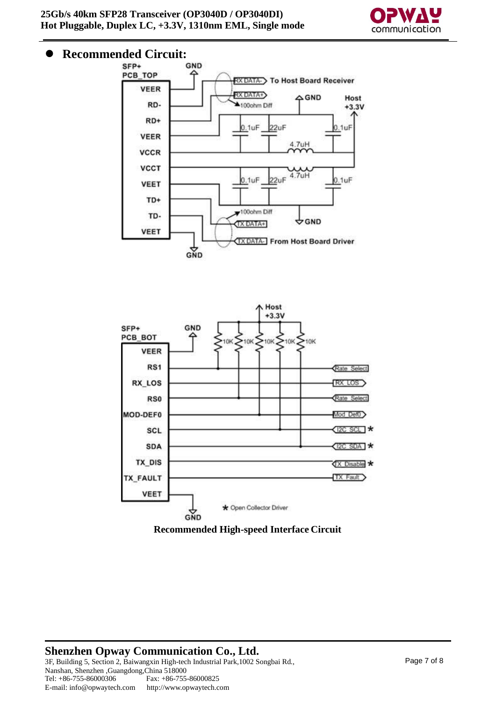

# **Recommended Circuit:**<br>**SFP+** GND





**Recommended High-speed Interface Circuit**